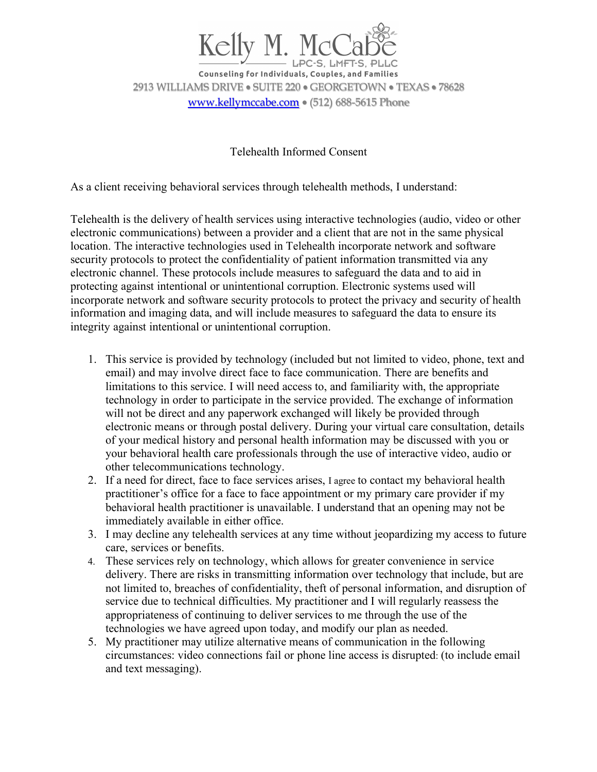

**Counseling for Individuals, Couples, and Families** 2913 WILLIAMS DRIVE • SUITE 220 • GEORGETOWN • TEXAS • 78628 www.kellymccabe.com • (512) 688-5615 Phone

Telehealth Informed Consent

As a client receiving behavioral services through telehealth methods, I understand:

Telehealth is the delivery of health services using interactive technologies (audio, video or other electronic communications) between a provider and a client that are not in the same physical location. The interactive technologies used in Telehealth incorporate network and software security protocols to protect the confidentiality of patient information transmitted via any electronic channel. These protocols include measures to safeguard the data and to aid in protecting against intentional or unintentional corruption. Electronic systems used will incorporate network and software security protocols to protect the privacy and security of health information and imaging data, and will include measures to safeguard the data to ensure its integrity against intentional or unintentional corruption.

- 1. This service is provided by technology (included but not limited to video, phone, text and email) and may involve direct face to face communication. There are benefits and limitations to this service. I will need access to, and familiarity with, the appropriate technology in order to participate in the service provided. The exchange of information will not be direct and any paperwork exchanged will likely be provided through electronic means or through postal delivery. During your virtual care consultation, details of your medical history and personal health information may be discussed with you or your behavioral health care professionals through the use of interactive video, audio or other telecommunications technology.
- 2. If a need for direct, face to face services arises, I agree to contact my behavioral health practitioner's office for a face to face appointment or my primary care provider if my behavioral health practitioner is unavailable. I understand that an opening may not be immediately available in either office.
- 3. I may decline any telehealth services at any time without jeopardizing my access to future care, services or benefits.
- 4. These services rely on technology, which allows for greater convenience in service delivery. There are risks in transmitting information over technology that include, but are not limited to, breaches of confidentiality, theft of personal information, and disruption of service due to technical difficulties. My practitioner and I will regularly reassess the appropriateness of continuing to deliver services to me through the use of the technologies we have agreed upon today, and modify our plan as needed.
- 5. My practitioner may utilize alternative means of communication in the following circumstances: video connections fail or phone line access is disrupted: (to include email and text messaging).